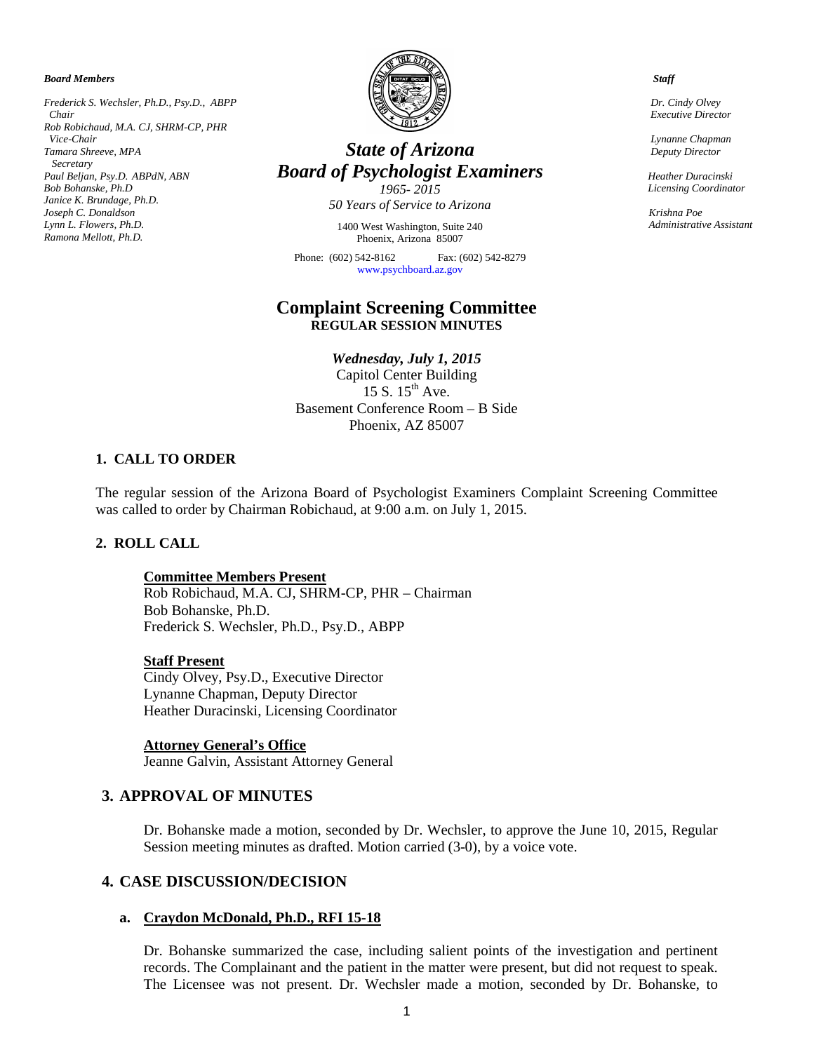*Board Members*

*Frederick S. Wechsler, Ph.D., Psy.D., ABPP Chair Rob Robichaud, M.A. CJ, SHRM-CP, PHR Vice-Chair Tamara Shreeve, MPA Secretary Paul Beljan, Psy.D. ABPdN, ABN Bob Bohanske, Ph.D Janice K. Brundage, Ph.D. Joseph C. Donaldson Lynn L. Flowers, Ph.D. Ramona Mellott, Ph.D.*



# *State of Arizona Board of Psychologist Examiners*

*1965- 2015 50 Years of Service to Arizona*

1400 West Washington, Suite 240 Phoenix, Arizona 85007

Phone: (602) 542-8162 Fax: (602) 542-8279 [www.psychboard.az.gov](http://www.psychboard.az.gov/) 

# **Complaint Screening Committee REGULAR SESSION MINUTES**

*Wednesday, July 1, 2015* Capitol Center Building 15 S.  $15^{th}$  Ave. Basement Conference Room – B Side Phoenix, AZ 85007

### **1. CALL TO ORDER**

The regular session of the Arizona Board of Psychologist Examiners Complaint Screening Committee was called to order by Chairman Robichaud, at 9:00 a.m. on July 1, 2015.

### **2. ROLL CALL**

#### **Committee Members Present**

Rob Robichaud, M.A. CJ, SHRM-CP, PHR – Chairman Bob Bohanske, Ph.D. Frederick S. Wechsler, Ph.D., Psy.D., ABPP

### **Staff Present**

Cindy Olvey, Psy.D., Executive Director Lynanne Chapman, Deputy Director Heather Duracinski, Licensing Coordinator

#### **Attorney General's Office**

Jeanne Galvin, Assistant Attorney General

### **3. APPROVAL OF MINUTES**

Dr. Bohanske made a motion, seconded by Dr. Wechsler, to approve the June 10, 2015, Regular Session meeting minutes as drafted. Motion carried (3-0), by a voice vote.

# **4. CASE DISCUSSION/DECISION**

#### **a. Craydon McDonald, Ph.D., RFI 15-18**

Dr. Bohanske summarized the case, including salient points of the investigation and pertinent records. The Complainant and the patient in the matter were present, but did not request to speak. The Licensee was not present. Dr. Wechsler made a motion, seconded by Dr. Bohanske, to

 *Staff*

 *Dr. Cindy Olvey Executive Director*

 *Lynanne Chapman Deputy Director*

 *Heather Duracinski Licensing Coordinator*

*Krishna Poe Administrative Assistant*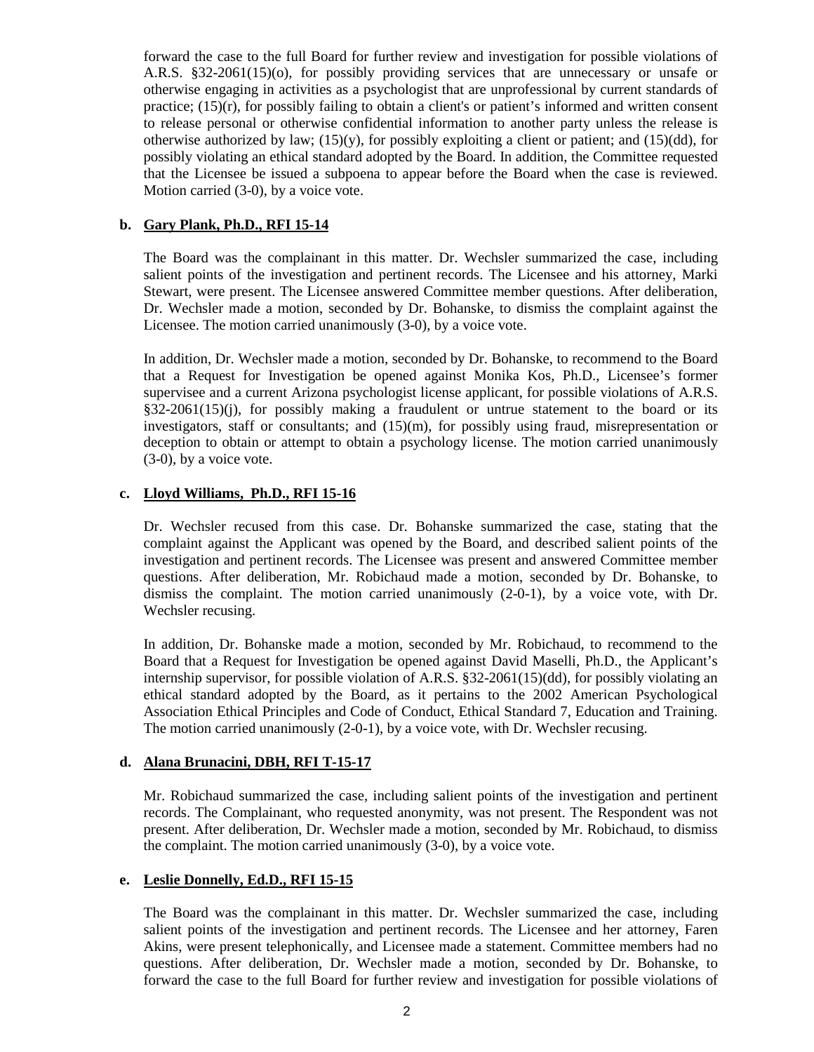forward the case to the full Board for further review and investigation for possible violations of A.R.S. §32-2061(15)(o), for possibly providing services that are unnecessary or unsafe or otherwise engaging in activities as a psychologist that are unprofessional by current standards of practice;  $(15)(r)$ , for possibly failing to obtain a client's or patient's informed and written consent to release personal or otherwise confidential information to another party unless the release is otherwise authorized by law;  $(15)(y)$ , for possibly exploiting a client or patient; and  $(15)(dd)$ , for possibly violating an ethical standard adopted by the Board. In addition, the Committee requested that the Licensee be issued a subpoena to appear before the Board when the case is reviewed. Motion carried (3-0), by a voice vote.

# **b. Gary Plank, Ph.D., RFI 15-14**

The Board was the complainant in this matter. Dr. Wechsler summarized the case, including salient points of the investigation and pertinent records. The Licensee and his attorney, Marki Stewart, were present. The Licensee answered Committee member questions. After deliberation, Dr. Wechsler made a motion, seconded by Dr. Bohanske, to dismiss the complaint against the Licensee. The motion carried unanimously (3-0), by a voice vote.

In addition, Dr. Wechsler made a motion, seconded by Dr. Bohanske, to recommend to the Board that a Request for Investigation be opened against Monika Kos, Ph.D., Licensee's former supervisee and a current Arizona psychologist license applicant, for possible violations of A.R.S. §32-2061(15)(j), for possibly making a fraudulent or untrue statement to the board or its investigators, staff or consultants; and (15)(m), for possibly using fraud, misrepresentation or deception to obtain or attempt to obtain a psychology license. The motion carried unanimously (3-0), by a voice vote.

# **c. Lloyd Williams, Ph.D., RFI 15-16**

Dr. Wechsler recused from this case. Dr. Bohanske summarized the case, stating that the complaint against the Applicant was opened by the Board, and described salient points of the investigation and pertinent records. The Licensee was present and answered Committee member questions. After deliberation, Mr. Robichaud made a motion, seconded by Dr. Bohanske, to dismiss the complaint. The motion carried unanimously (2-0-1), by a voice vote, with Dr. Wechsler recusing.

In addition, Dr. Bohanske made a motion, seconded by Mr. Robichaud, to recommend to the Board that a Request for Investigation be opened against David Maselli, Ph.D., the Applicant's internship supervisor, for possible violation of A.R.S. §32-2061(15)(dd), for possibly violating an ethical standard adopted by the Board, as it pertains to the 2002 American Psychological Association Ethical Principles and Code of Conduct, Ethical Standard 7, Education and Training. The motion carried unanimously (2-0-1), by a voice vote, with Dr. Wechsler recusing.

### **d. Alana Brunacini, DBH, RFI T-15-17**

Mr. Robichaud summarized the case, including salient points of the investigation and pertinent records. The Complainant, who requested anonymity, was not present. The Respondent was not present. After deliberation, Dr. Wechsler made a motion, seconded by Mr. Robichaud, to dismiss the complaint. The motion carried unanimously (3-0), by a voice vote.

### **e. Leslie Donnelly, Ed.D., RFI 15-15**

The Board was the complainant in this matter. Dr. Wechsler summarized the case, including salient points of the investigation and pertinent records. The Licensee and her attorney, Faren Akins, were present telephonically, and Licensee made a statement. Committee members had no questions. After deliberation, Dr. Wechsler made a motion, seconded by Dr. Bohanske, to forward the case to the full Board for further review and investigation for possible violations of